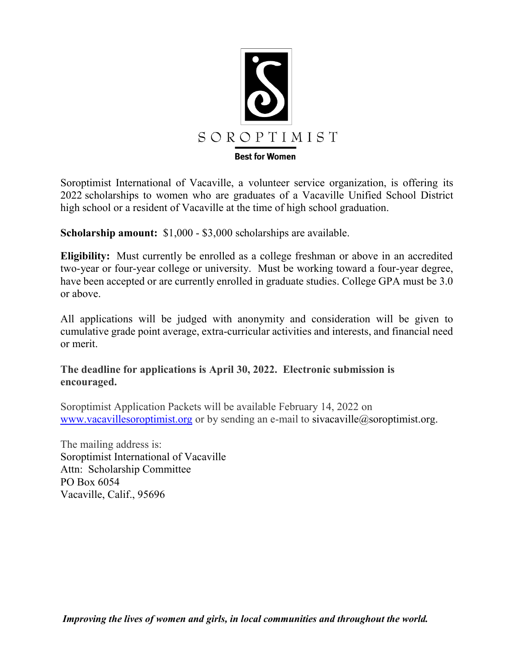

Soroptimist International of Vacaville, a volunteer service organization, is offering its 2022 scholarships to women who are graduates of a Vacaville Unified School District high school or a resident of Vacaville at the time of high school graduation.

**Scholarship amount:**  $$1,000 - $3,000$  scholarships are available.

**Eligibility:** Must currently be enrolled as a college freshman or above in an accredited two-year or four-year college or university. Must be working toward a four-year degree, have been accepted or are currently enrolled in graduate studies. College GPA must be 3.0 or above.

All applications will be judged with anonymity and consideration will be given to cumulative grade point average, extra-curricular activities and interests, and financial need or merit.

## **The deadline for applications is April 30, 2022. Electronic submission is encouraged.**

Soroptimist Application Packets will be available February 14, 2022 on www.vacavillesoroptimist.org or by sending an e-mail to sivacaville@soroptimist.org.

The mailing address is: Soroptimist International of Vacaville Attn: Scholarship Committee PO Box 6054 Vacaville, Calif., 95696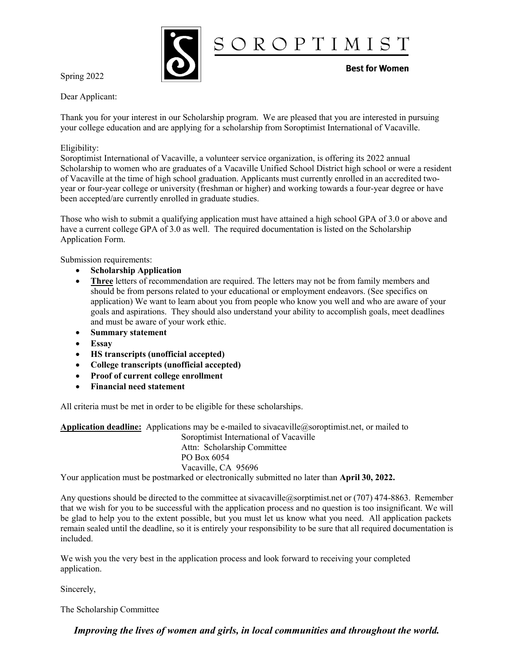

Spring 2022

Dear Applicant:

Thank you for your interest in our Scholarship program. We are pleased that you are interested in pursuing your college education and are applying for a scholarship from Soroptimist International of Vacaville.

#### Eligibility:

Soroptimist International of Vacaville, a volunteer service organization, is offering its 2022 annual Scholarship to women who are graduates of a Vacaville Unified School District high school or were a resident of Vacaville at the time of high school graduation. Applicants must currently enrolled in an accredited twoyear or four-year college or university (freshman or higher) and working towards a four-year degree or have been accepted/are currently enrolled in graduate studies.

Those who wish to submit a qualifying application must have attained a high school GPA of 3.0 or above and have a current college GPA of 3.0 as well. The required documentation is listed on the Scholarship Application Form.

Submission requirements:

- x **Scholarship Application**
- x **Three** letters of recommendation are required. The letters may not be from family members and should be from persons related to your educational or employment endeavors. (See specifics on application) We want to learn about you from people who know you well and who are aware of your goals and aspirations. They should also understand your ability to accomplish goals, meet deadlines and must be aware of your work ethic.
- x **Summary statement**
- x **Essay**
- x **HS transcripts (unofficial accepted)**
- x **College transcripts (unofficial accepted)**
- x **Proof of current college enrollment**
- x **Financial need statement**

All criteria must be met in order to be eligible for these scholarships.

**Application deadline:** Applications may be e-mailed to sivacaville@soroptimist.net, or mailed to Soroptimist International of Vacaville Attn: Scholarship Committee PO Box 6054 Vacaville, CA 95696 Your application must be postmarked or electronically submitted no later than **April 30, 2022.**

Any questions should be directed to the committee at sivacaville@sorptimist.net or (707) 474-8863. Remember that we wish for you to be successful with the application process and no question is too insignificant. We will be glad to help you to the extent possible, but you must let us know what you need. All application packets remain sealed until the deadline, so it is entirely your responsibility to be sure that all required documentation is

We wish you the very best in the application process and look forward to receiving your completed application.

Sincerely,

included.

The Scholarship Committee

*Improving the lives of women and girls, in local communities and throughout the world.*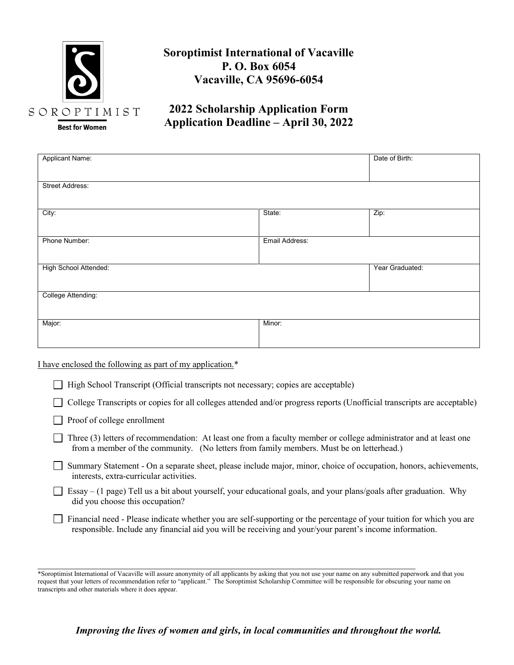

## **Soroptimist International of Vacaville P. O. Box 6054 Vacaville, CA 95696-6054**

## **2022 Scholarship Application Form Application Deadline – April 30, 2022**

| Applicant Name:        |                | Date of Birth:  |
|------------------------|----------------|-----------------|
|                        |                |                 |
|                        |                |                 |
| <b>Street Address:</b> |                |                 |
|                        |                |                 |
| City:                  | State:         | Zip:            |
|                        |                |                 |
|                        |                |                 |
| Phone Number:          | Email Address: |                 |
|                        |                |                 |
|                        |                |                 |
| High School Attended:  |                | Year Graduated: |
|                        |                |                 |
|                        |                |                 |
| College Attending:     |                |                 |
|                        |                |                 |
|                        |                |                 |
| Major:                 | Minor:         |                 |
|                        |                |                 |
|                        |                |                 |

I have enclosed the following as part of my application.\*

 $\Box$  High School Transcript (Official transcripts not necessary; copies are acceptable)

College Transcripts or copies for all colleges attended and/or progress reports (Unofficial transcripts are acceptable)

- Proof of college enrollment
- Three (3) letters of recommendation: At least one from a faculty member or college administrator and at least one from a member of the community. (No letters from family members. Must be on letterhead.)
- Summary Statement On a separate sheet, please include major, minor, choice of occupation, honors, achievements, interests, extra-curricular activities.
- Essay (1 page) Tell us a bit about yourself, your educational goals, and your plans/goals after graduation. Why did you choose this occupation?
- $\Box$  Financial need Please indicate whether you are self-supporting or the percentage of your tuition for which you are responsible. Include any financial aid you will be receiving and your/your parent's income information.

 $\mathcal{L}_\mathcal{L} = \mathcal{L}_\mathcal{L} = \mathcal{L}_\mathcal{L} = \mathcal{L}_\mathcal{L} = \mathcal{L}_\mathcal{L} = \mathcal{L}_\mathcal{L} = \mathcal{L}_\mathcal{L} = \mathcal{L}_\mathcal{L} = \mathcal{L}_\mathcal{L} = \mathcal{L}_\mathcal{L} = \mathcal{L}_\mathcal{L} = \mathcal{L}_\mathcal{L} = \mathcal{L}_\mathcal{L} = \mathcal{L}_\mathcal{L} = \mathcal{L}_\mathcal{L} = \mathcal{L}_\mathcal{L} = \mathcal{L}_\mathcal{L}$ 

<sup>\*</sup>Soroptimist International of Vacaville will assure anonymity of all applicants by asking that you not use your name on any submitted paperwork and that you request that your letters of recommendation refer to "applicant." The Soroptimist Scholarship Committee will be responsible for obscuring your name on transcripts and other materials where it does appear.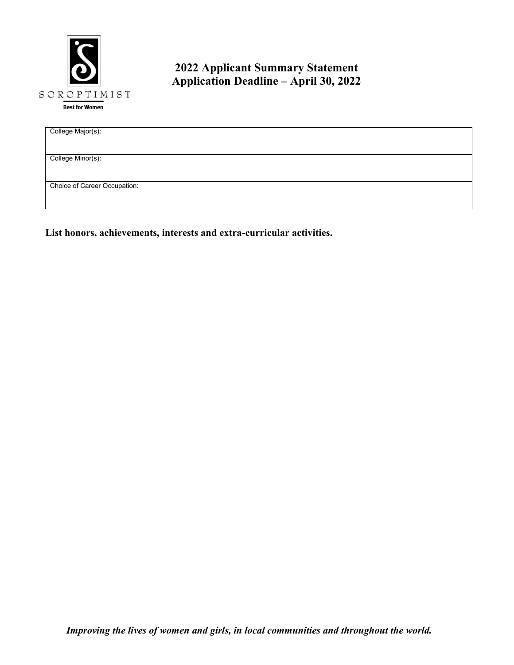

# **2022 Applicant Summary Statement Application Deadline – April 30, 2022**

| College Major(s):            |
|------------------------------|
|                              |
|                              |
|                              |
|                              |
| College Minor(s):            |
|                              |
|                              |
|                              |
| Choice of Career Occupation: |
|                              |
|                              |
|                              |

**List honors, achievements, interests and extra-curricular activities.**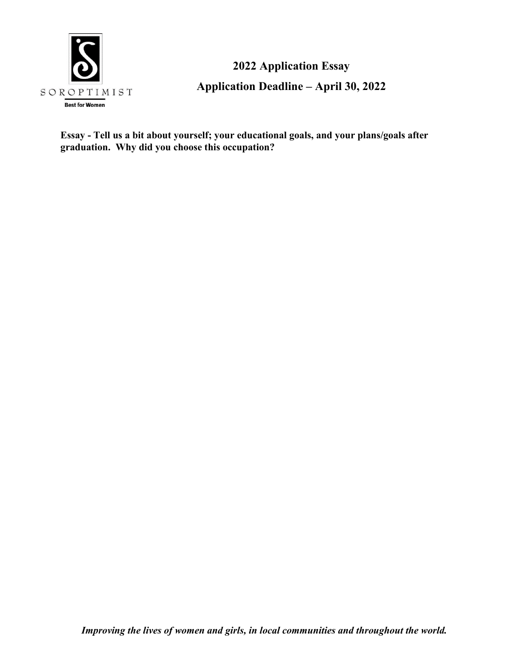

**2022 Application Essay Application Deadline – April 30, 2022**

**Essay - Tell us a bit about yourself; your educational goals, and your plans/goals after graduation. Why did you choose this occupation?**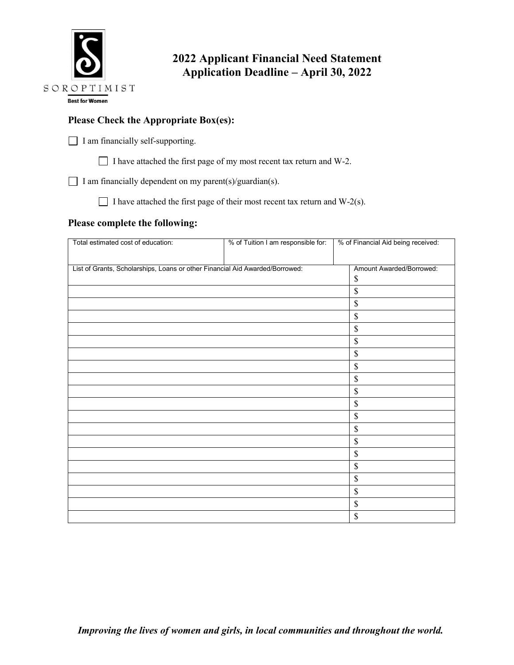

## **2022 Applicant Financial Need Statement Application Deadline – April 30, 2022**

### **Please Check the Appropriate Box(es):**

I am financially self-supporting.

I have attached the first page of my most recent tax return and W-2.

I am financially dependent on my parent(s)/guardian(s).

I have attached the first page of their most recent tax return and  $W-2(s)$ .

### **Please complete the following:**

| Total estimated cost of education:                                           | % of Tuition I am responsible for: | % of Financial Aid being received: |
|------------------------------------------------------------------------------|------------------------------------|------------------------------------|
| List of Grants, Scholarships, Loans or other Financial Aid Awarded/Borrowed: |                                    | Amount Awarded/Borrowed:<br>\$     |
|                                                                              |                                    | $\mathsf{\$}$                      |
|                                                                              |                                    | $\$$                               |
|                                                                              |                                    | \$                                 |
|                                                                              |                                    | $\boldsymbol{\mathsf{S}}$          |
|                                                                              |                                    | $\$$                               |
|                                                                              |                                    | $\mathsf{\$}$                      |
|                                                                              |                                    | \$                                 |
|                                                                              |                                    | $\$$                               |
|                                                                              |                                    | $\$$                               |
|                                                                              |                                    | \$                                 |
|                                                                              |                                    | $\$$                               |
|                                                                              |                                    | $\mathbb S$                        |
|                                                                              |                                    | \$                                 |
|                                                                              |                                    | \$                                 |
|                                                                              |                                    | $\boldsymbol{\mathsf{S}}$          |
|                                                                              |                                    | $\$$                               |
|                                                                              |                                    | \$                                 |
|                                                                              |                                    | \$                                 |
|                                                                              |                                    | \$                                 |